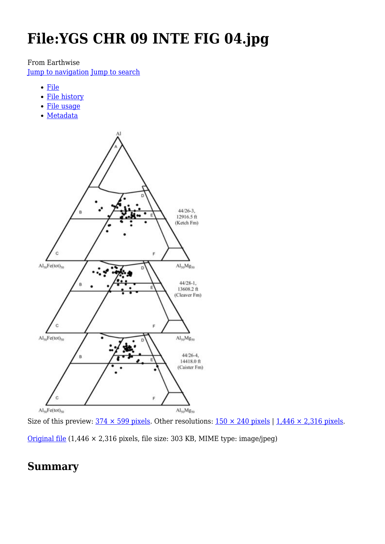# **File:YGS CHR 09 INTE FIG 04.jpg**

From Earthwise

[Jump to navigation](#page--1-0) [Jump to search](#page--1-0)

- [File](#page--1-0)
- [File history](#page--1-0)
- [File usage](#page--1-0)
- [Metadata](#page--1-0)



Size of this preview:  $374 \times 599$  pixels. Other resolutions:  $150 \times 240$  pixels | 1,446  $\times$  2,316 pixels.

[Original file](http://earthwise.bgs.ac.uk/images/d/d1/YGS_CHR_09_INTE_FIG_04.jpg) (1,446 × 2,316 pixels, file size: 303 KB, MIME type: image/jpeg)

### **Summary**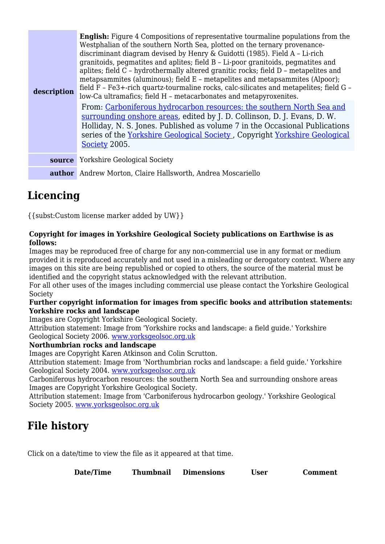| description   | <b>English:</b> Figure 4 Compositions of representative tourmaline populations from the<br>Westphalian of the southern North Sea, plotted on the ternary provenance-<br>discriminant diagram devised by Henry & Guidotti (1985). Field A - Li-rich<br>granitoids, pegmatites and aplites; field B - Li-poor granitoids, pegmatites and<br>aplites; field C - hydrothermally altered granitic rocks; field D - metapelites and<br>metapsammites (aluminous); field E - metapelites and metapsammites (Alpoor);<br>field F - Fe3+-rich quartz-tourmaline rocks, calc-silicates and metapelites; field G -<br>low-Ca ultramafics; field H - metacarbonates and metapyroxenites. |
|---------------|------------------------------------------------------------------------------------------------------------------------------------------------------------------------------------------------------------------------------------------------------------------------------------------------------------------------------------------------------------------------------------------------------------------------------------------------------------------------------------------------------------------------------------------------------------------------------------------------------------------------------------------------------------------------------|
|               | From: Carboniferous hydrocarbon resources: the southern North Sea and<br>surrounding onshore areas, edited by J. D. Collinson, D. J. Evans, D. W.<br>Holliday, N. S. Jones. Published as volume 7 in the Occasional Publications<br>series of the Yorkshire Geological Society, Copyright Yorkshire Geological<br>Society 2005.                                                                                                                                                                                                                                                                                                                                              |
| <b>source</b> | <b>Yorkshire Geological Society</b>                                                                                                                                                                                                                                                                                                                                                                                                                                                                                                                                                                                                                                          |
|               | <b>author</b> Andrew Morton, Claire Hallsworth, Andrea Moscariello                                                                                                                                                                                                                                                                                                                                                                                                                                                                                                                                                                                                           |

## **Licencing**

{{subst:Custom license marker added by UW}}

### **Copyright for images in Yorkshire Geological Society publications on Earthwise is as follows:**

Images may be reproduced free of charge for any non-commercial use in any format or medium provided it is reproduced accurately and not used in a misleading or derogatory context. Where any images on this site are being republished or copied to others, the source of the material must be identified and the copyright status acknowledged with the relevant attribution.

For all other uses of the images including commercial use please contact the Yorkshire Geological Society

### **Further copyright information for images from specific books and attribution statements: Yorkshire rocks and landscape**

Images are Copyright Yorkshire Geological Society.

Attribution statement: Image from 'Yorkshire rocks and landscape: a field guide.' Yorkshire Geological Society 2006. [www.yorksgeolsoc.org.uk](http://www.yorksgeolsoc.org.uk)

### **Northumbrian rocks and landscape**

Images are Copyright Karen Atkinson and Colin Scrutton.

Attribution statement: Image from 'Northumbrian rocks and landscape: a field guide.' Yorkshire Geological Society 2004. [www.yorksgeolsoc.org.uk](http://www.yorksgeolsoc.org.uk)

Carboniferous hydrocarbon resources: the southern North Sea and surrounding onshore areas Images are Copyright Yorkshire Geological Society.

Attribution statement: Image from 'Carboniferous hydrocarbon geology.' Yorkshire Geological Society 2005. [www.yorksgeolsoc.org.uk](http://www.yorksgeolsoc.org.uk)

# **File history**

Click on a date/time to view the file as it appeared at that time.

| <b>Date/Time</b> | <b>Thumbnail</b> | <b>Dimensions</b> | <b>User</b> | <b>Comment</b> |
|------------------|------------------|-------------------|-------------|----------------|
|                  |                  |                   |             |                |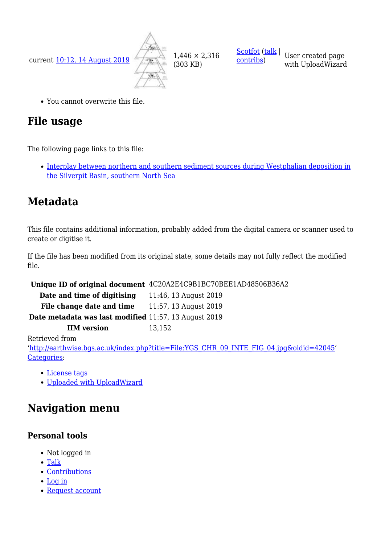current [10:12, 14 August 2019](http://earthwise.bgs.ac.uk/images/d/d1/YGS_CHR_09_INTE_FIG_04.jpg)



(303 KB)

[contribs](http://earthwise.bgs.ac.uk/index.php/Special:Contributions/Scotfot))

[Scotfot](http://earthwise.bgs.ac.uk/index.php/User:Scotfot) ([talk](http://earthwise.bgs.ac.uk/index.php/User_talk:Scotfot) | User created page with UploadWizard

You cannot overwrite this file.

# **File usage**

The following page links to this file:

• [Interplay between northern and southern sediment sources during Westphalian deposition in](http://earthwise.bgs.ac.uk/index.php/Interplay_between_northern_and_southern_sediment_sources_during_Westphalian_deposition_in_the_Silverpit_Basin,_southern_North_Sea) [the Silverpit Basin, southern North Sea](http://earthwise.bgs.ac.uk/index.php/Interplay_between_northern_and_southern_sediment_sources_during_Westphalian_deposition_in_the_Silverpit_Basin,_southern_North_Sea)

# **Metadata**

This file contains additional information, probably added from the digital camera or scanner used to create or digitise it.

If the file has been modified from its original state, some details may not fully reflect the modified file.

**Unique ID of original document** 4C20A2E4C9B1BC70BEE1AD48506B36A2

**Date and time of digitising** 11:46, 13 August 2019 **File change date and time** 11:57, 13 August 2019

**Date metadata was last modified** 11:57, 13 August 2019

**IIM version** 13.152

Retrieved from

'[http://earthwise.bgs.ac.uk/index.php?title=File:YGS\\_CHR\\_09\\_INTE\\_FIG\\_04.jpg&oldid=42045'](http://earthwise.bgs.ac.uk/index.php?title=File:YGS_CHR_09_INTE_FIG_04.jpg&oldid=42045) [Categories:](http://earthwise.bgs.ac.uk/index.php/Special:Categories)

- [License tags](http://earthwise.bgs.ac.uk/index.php/Category:License_tags)
- [Uploaded with UploadWizard](http://earthwise.bgs.ac.uk/index.php/Category:Uploaded_with_UploadWizard)

# **Navigation menu**

### **Personal tools**

- Not logged in
- [Talk](http://earthwise.bgs.ac.uk/index.php/Special:MyTalk)
- [Contributions](http://earthwise.bgs.ac.uk/index.php/Special:MyContributions)
- [Log in](http://earthwise.bgs.ac.uk/index.php?title=Special:UserLogin&returnto=File%3AYGS+CHR+09+INTE+FIG+04.jpg&returntoquery=action%3Dmpdf)
- [Request account](http://earthwise.bgs.ac.uk/index.php/Special:RequestAccount)